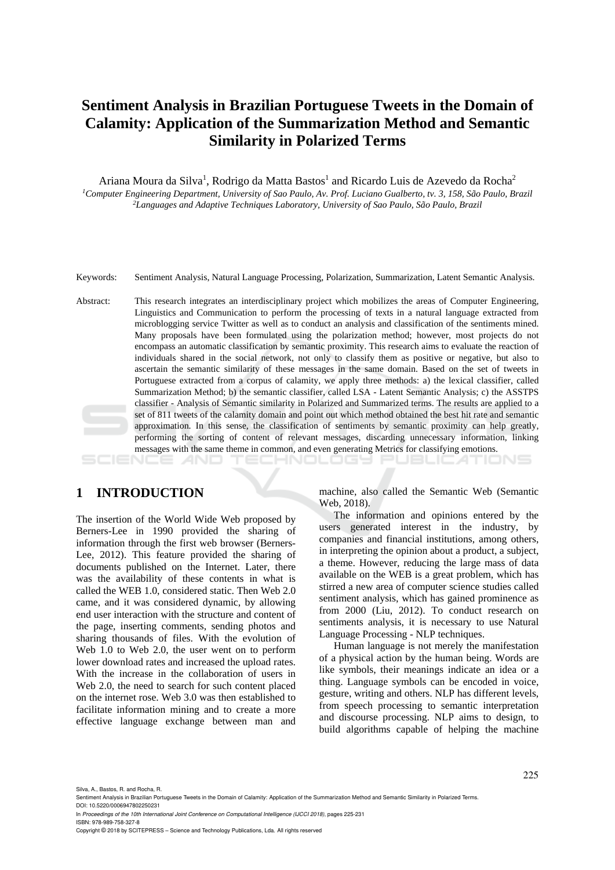# **Sentiment Analysis in Brazilian Portuguese Tweets in the Domain of Calamity: Application of the Summarization Method and Semantic Similarity in Polarized Terms**

Ariana Moura da Silva<sup>1</sup>, Rodrigo da Matta Bastos<sup>1</sup> and Ricardo Luis de Azevedo da Rocha<sup>2</sup> *1Computer Engineering Department, University of Sao Paulo, Av. Prof. Luciano Gualberto, tv. 3, 158, São Paulo, Brazil 2Languages and Adaptive Techniques Laboratory, University of Sao Paulo, São Paulo, Brazil* 

Keywords: Sentiment Analysis, Natural Language Processing, Polarization, Summarization, Latent Semantic Analysis.

Abstract: This research integrates an interdisciplinary project which mobilizes the areas of Computer Engineering, Linguistics and Communication to perform the processing of texts in a natural language extracted from microblogging service Twitter as well as to conduct an analysis and classification of the sentiments mined. Many proposals have been formulated using the polarization method; however, most projects do not encompass an automatic classification by semantic proximity. This research aims to evaluate the reaction of individuals shared in the social network, not only to classify them as positive or negative, but also to ascertain the semantic similarity of these messages in the same domain. Based on the set of tweets in Portuguese extracted from a corpus of calamity, we apply three methods: a) the lexical classifier, called Summarization Method; b) the semantic classifier, called LSA - Latent Semantic Analysis; c) the ASSTPS classifier - Analysis of Semantic similarity in Polarized and Summarized terms. The results are applied to a set of 811 tweets of the calamity domain and point out which method obtained the best hit rate and semantic approximation. In this sense, the classification of sentiments by semantic proximity can help greatly, performing the sorting of content of relevant messages, discarding unnecessary information, linking messages with the same theme in common, and even generating Metrics for classifying emotions.

#### SCIENCE *A*ND :HNOLOGY PUBLIC*A*TIONS

### **1 INTRODUCTION**

The insertion of the World Wide Web proposed by Berners-Lee in 1990 provided the sharing of information through the first web browser (Berners-Lee, 2012). This feature provided the sharing of documents published on the Internet. Later, there was the availability of these contents in what is called the WEB 1.0, considered static. Then Web 2.0 came, and it was considered dynamic, by allowing end user interaction with the structure and content of the page, inserting comments, sending photos and sharing thousands of files. With the evolution of Web 1.0 to Web 2.0, the user went on to perform lower download rates and increased the upload rates. With the increase in the collaboration of users in Web 2.0, the need to search for such content placed on the internet rose. Web 3.0 was then established to facilitate information mining and to create a more effective language exchange between man and

machine, also called the Semantic Web (Semantic Web, 2018).

The information and opinions entered by the users generated interest in the industry, by companies and financial institutions, among others, in interpreting the opinion about a product, a subject, a theme. However, reducing the large mass of data available on the WEB is a great problem, which has stirred a new area of computer science studies called sentiment analysis, which has gained prominence as from 2000 (Liu, 2012). To conduct research on sentiments analysis, it is necessary to use Natural Language Processing - NLP techniques.

Human language is not merely the manifestation of a physical action by the human being. Words are like symbols, their meanings indicate an idea or a thing. Language symbols can be encoded in voice, gesture, writing and others. NLP has different levels, from speech processing to semantic interpretation and discourse processing. NLP aims to design, to build algorithms capable of helping the machine

Silva, A., Bastos, R. and Rocha, R.

ISBN: 978-989-758-327-8

Sentiment Analysis in Brazilian Portuguese Tweets in the Domain of Calamity: Application of the Summarization Method and Semantic Similarity in Polarized Terms. DOI: 10.5220/0006947802250231

In *Proceedings of the 10th International Joint Conference on Computational Intelligence (IJCCI 2018)*, pages 225-231

Copyright © 2018 by SCITEPRESS – Science and Technology Publications, Lda. All rights reserved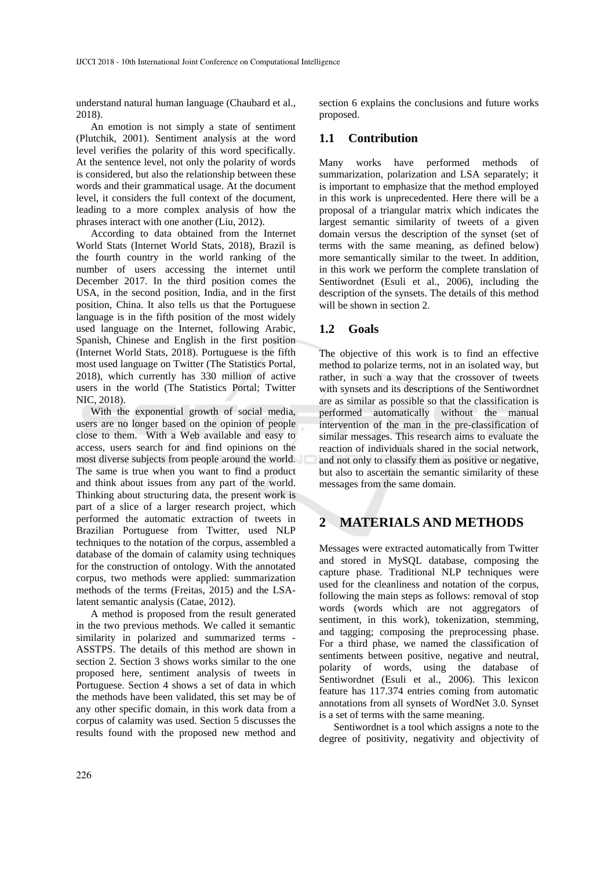understand natural human language (Chaubard et al., 2018).

An emotion is not simply a state of sentiment (Plutchik, 2001). Sentiment analysis at the word level verifies the polarity of this word specifically. At the sentence level, not only the polarity of words is considered, but also the relationship between these words and their grammatical usage. At the document level, it considers the full context of the document, leading to a more complex analysis of how the phrases interact with one another (Liu, 2012).

According to data obtained from the Internet World Stats (Internet World Stats, 2018), Brazil is the fourth country in the world ranking of the number of users accessing the internet until December 2017. In the third position comes the USA, in the second position, India, and in the first position, China. It also tells us that the Portuguese language is in the fifth position of the most widely used language on the Internet, following Arabic, Spanish, Chinese and English in the first position (Internet World Stats, 2018). Portuguese is the fifth most used language on Twitter (The Statistics Portal, 2018), which currently has 330 million of active users in the world (The Statistics Portal; Twitter NIC, 2018).

With the exponential growth of social media, users are no longer based on the opinion of people close to them. With a Web available and easy to access, users search for and find opinions on the most diverse subjects from people around the world. The same is true when you want to find a product and think about issues from any part of the world. Thinking about structuring data, the present work is part of a slice of a larger research project, which performed the automatic extraction of tweets in Brazilian Portuguese from Twitter, used NLP techniques to the notation of the corpus, assembled a database of the domain of calamity using techniques for the construction of ontology. With the annotated corpus, two methods were applied: summarization methods of the terms (Freitas, 2015) and the LSAlatent semantic analysis (Catae, 2012).

A method is proposed from the result generated in the two previous methods. We called it semantic similarity in polarized and summarized terms - ASSTPS. The details of this method are shown in section 2. Section 3 shows works similar to the one proposed here, sentiment analysis of tweets in Portuguese. Section 4 shows a set of data in which the methods have been validated, this set may be of any other specific domain, in this work data from a corpus of calamity was used. Section 5 discusses the results found with the proposed new method and section 6 explains the conclusions and future works proposed.

#### **1.1 Contribution**

Many works have performed methods of summarization, polarization and LSA separately; it is important to emphasize that the method employed in this work is unprecedented. Here there will be a proposal of a triangular matrix which indicates the largest semantic similarity of tweets of a given domain versus the description of the synset (set of terms with the same meaning, as defined below) more semantically similar to the tweet. In addition, in this work we perform the complete translation of Sentiwordnet (Esuli et al., 2006), including the description of the synsets. The details of this method will be shown in section 2.

#### **1.2 Goals**

The objective of this work is to find an effective method to polarize terms, not in an isolated way, but rather, in such a way that the crossover of tweets with synsets and its descriptions of the Sentiwordnet are as similar as possible so that the classification is performed automatically without the manual intervention of the man in the pre-classification of similar messages. This research aims to evaluate the reaction of individuals shared in the social network, and not only to classify them as positive or negative, but also to ascertain the semantic similarity of these messages from the same domain.

## **2 MATERIALS AND METHODS**

Messages were extracted automatically from Twitter and stored in MySQL database, composing the capture phase. Traditional NLP techniques were used for the cleanliness and notation of the corpus, following the main steps as follows: removal of stop words (words which are not aggregators of sentiment, in this work), tokenization, stemming, and tagging; composing the preprocessing phase. For a third phase, we named the classification of sentiments between positive, negative and neutral, polarity of words, using the database of Sentiwordnet (Esuli et al., 2006). This lexicon feature has 117.374 entries coming from automatic annotations from all synsets of WordNet 3.0. Synset is a set of terms with the same meaning.

Sentiwordnet is a tool which assigns a note to the degree of positivity, negativity and objectivity of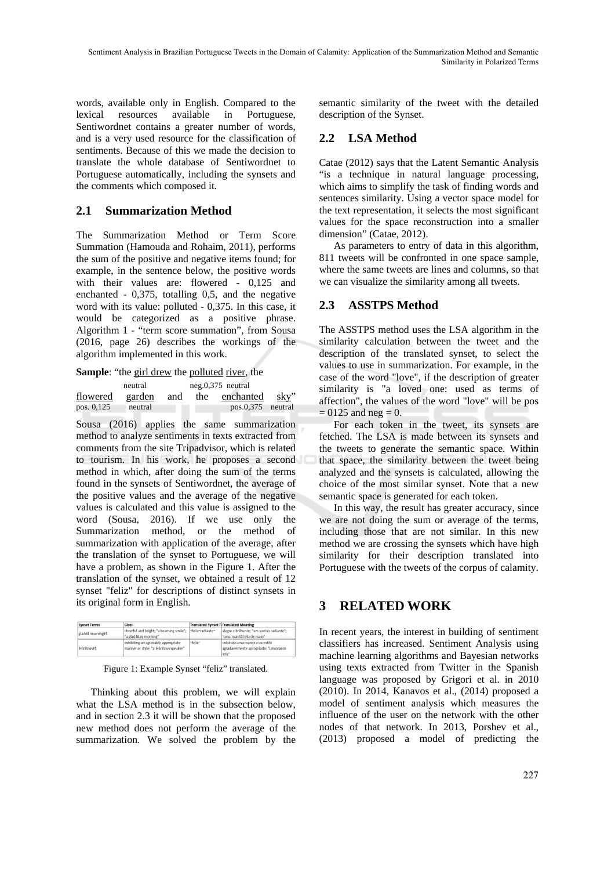words, available only in English. Compared to the lexical resources available in Portuguese, Sentiwordnet contains a greater number of words, and is a very used resource for the classification of sentiments. Because of this we made the decision to translate the whole database of Sentiwordnet to Portuguese automatically, including the synsets and the comments which composed it.

## **2.1 Summarization Method**

The Summarization Method or Term Score Summation (Hamouda and Rohaim, 2011), performs the sum of the positive and negative items found; for example, in the sentence below, the positive words with their values are: flowered - 0,125 and enchanted - 0,375, totalling 0,5, and the negative word with its value: polluted - 0,375. In this case, it would be categorized as a positive phrase. Algorithm 1 - "term score summation", from Sousa (2016, page 26) describes the workings of the algorithm implemented in this work.

**Sample:** "the girl drew the polluted river, the

|            | neutral |     | $neg.0,375$ neutral |                     |      |
|------------|---------|-----|---------------------|---------------------|------|
| flowered   | garden  | and | the                 | enchanted           | sky" |
| pos. 0,125 | neutral |     |                     | $pos.0,375$ neutral |      |

Sousa (2016) applies the same summarization method to analyze sentiments in texts extracted from comments from the site Tripadvisor, which is related to tourism. In his work, he proposes a second method in which, after doing the sum of the terms found in the synsets of Sentiwordnet, the average of the positive values and the average of the negative values is calculated and this value is assigned to the word (Sousa, 2016). If we use only the Summarization method, or the method of summarization with application of the average, after the translation of the synset to Portuguese, we will have a problem, as shown in the Figure 1. After the translation of the synset, we obtained a result of 12 synset "feliz" for descriptions of distinct synsets in its original form in English.

| <b>Synset Terms</b> | Gloss                                                                          |                  | <b>Translated Synset TiTranslated Meaning</b>                                     |
|---------------------|--------------------------------------------------------------------------------|------------------|-----------------------------------------------------------------------------------|
| glad#4 beaming#1    | cheerful and bright; "a beaming smile";<br>"a glad May morning"                | "feliz"radiante" | alegre e brilhante; "um sorriso radiante";<br>"uma manhã feliz de maio"           |
| felicitous#1        | exhibiting an agreeably appropriate<br>manner or style; "a felicitous speaker" | "feliz"          | exibindo uma maneira ou estilo<br>agradavelmente apropriado; "um orador<br>feliz" |

Figure 1: Example Synset "feliz" translated.

Thinking about this problem, we will explain what the LSA method is in the subsection below, and in section 2.3 it will be shown that the proposed new method does not perform the average of the summarization. We solved the problem by the

semantic similarity of the tweet with the detailed description of the Synset.

## **2.2 LSA Method**

Catae (2012) says that the Latent Semantic Analysis "is a technique in natural language processing, which aims to simplify the task of finding words and sentences similarity. Using a vector space model for the text representation, it selects the most significant values for the space reconstruction into a smaller dimension" (Catae, 2012).

As parameters to entry of data in this algorithm, 811 tweets will be confronted in one space sample, where the same tweets are lines and columns, so that we can visualize the similarity among all tweets.

## **2.3 ASSTPS Method**

The ASSTPS method uses the LSA algorithm in the similarity calculation between the tweet and the description of the translated synset, to select the values to use in summarization. For example, in the case of the word "love", if the description of greater similarity is "a loved one: used as terms of affection", the values of the word "love" will be pos  $= 0125$  and neg  $= 0$ .

For each token in the tweet, its synsets are fetched. The LSA is made between its synsets and the tweets to generate the semantic space. Within that space, the similarity between the tweet being analyzed and the synsets is calculated, allowing the choice of the most similar synset. Note that a new semantic space is generated for each token.

In this way, the result has greater accuracy, since we are not doing the sum or average of the terms, including those that are not similar. In this new method we are crossing the synsets which have high similarity for their description translated into Portuguese with the tweets of the corpus of calamity.

## **3 RELATED WORK**

In recent years, the interest in building of sentiment classifiers has increased. Sentiment Analysis using machine learning algorithms and Bayesian networks using texts extracted from Twitter in the Spanish language was proposed by Grigori et al. in 2010 (2010). In 2014, Kanavos et al., (2014) proposed a model of sentiment analysis which measures the influence of the user on the network with the other nodes of that network. In 2013, Porshev et al., (2013) proposed a model of predicting the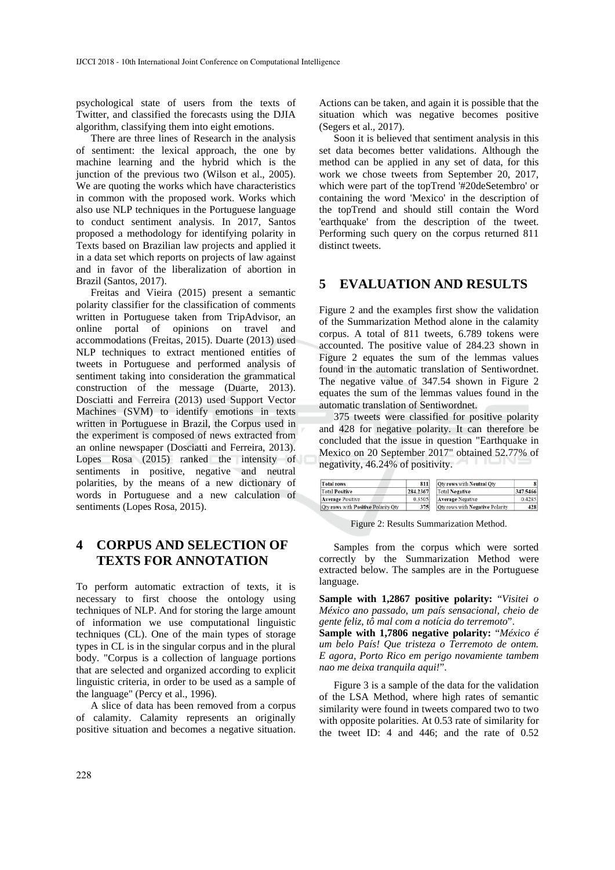psychological state of users from the texts of Twitter, and classified the forecasts using the DJIA algorithm, classifying them into eight emotions.

There are three lines of Research in the analysis of sentiment: the lexical approach, the one by machine learning and the hybrid which is the junction of the previous two (Wilson et al., 2005). We are quoting the works which have characteristics in common with the proposed work. Works which also use NLP techniques in the Portuguese language to conduct sentiment analysis. In 2017, Santos proposed a methodology for identifying polarity in Texts based on Brazilian law projects and applied it in a data set which reports on projects of law against and in favor of the liberalization of abortion in Brazil (Santos, 2017).

Freitas and Vieira (2015) present a semantic polarity classifier for the classification of comments written in Portuguese taken from TripAdvisor, an online portal of opinions on travel and accommodations (Freitas, 2015). Duarte (2013) used NLP techniques to extract mentioned entities of tweets in Portuguese and performed analysis of sentiment taking into consideration the grammatical construction of the message (Duarte, 2013). Dosciatti and Ferreira (2013) used Support Vector Machines (SVM) to identify emotions in texts written in Portuguese in Brazil, the Corpus used in the experiment is composed of news extracted from an online newspaper (Dosciatti and Ferreira, 2013). Lopes Rosa (2015) ranked the intensity of sentiments in positive, negative and neutral polarities, by the means of a new dictionary of words in Portuguese and a new calculation of sentiments (Lopes Rosa, 2015).

## **4 CORPUS AND SELECTION OF TEXTS FOR ANNOTATION**

To perform automatic extraction of texts, it is necessary to first choose the ontology using techniques of NLP. And for storing the large amount of information we use computational linguistic techniques (CL). One of the main types of storage types in CL is in the singular corpus and in the plural body. "Corpus is a collection of language portions that are selected and organized according to explicit linguistic criteria, in order to be used as a sample of the language" (Percy et al., 1996).

A slice of data has been removed from a corpus of calamity. Calamity represents an originally positive situation and becomes a negative situation.

Actions can be taken, and again it is possible that the situation which was negative becomes positive (Segers et al., 2017).

Soon it is believed that sentiment analysis in this set data becomes better validations. Although the method can be applied in any set of data, for this work we chose tweets from September 20, 2017, which were part of the topTrend '#20deSetembro' or containing the word 'Mexico' in the description of the topTrend and should still contain the Word 'earthquake' from the description of the tweet. Performing such query on the corpus returned 811 distinct tweets.

### **5 EVALUATION AND RESULTS**

Figure 2 and the examples first show the validation of the Summarization Method alone in the calamity corpus. A total of 811 tweets, 6.789 tokens were accounted. The positive value of 284.23 shown in Figure 2 equates the sum of the lemmas values found in the automatic translation of Sentiwordnet. The negative value of 347.54 shown in Figure 2 equates the sum of the lemmas values found in the automatic translation of Sentiwordnet.

375 tweets were classified for positive polarity and 428 for negative polarity. It can therefore be concluded that the issue in question "Earthquake in Mexico on 20 September 2017" obtained 52.77% of negativity, 46.24% of positivity.

| <b>Total rows</b>                   | 811      | Oty rows with Neutral Oty       |          |
|-------------------------------------|----------|---------------------------------|----------|
| <b>Total Positive</b>               | 284,2367 | <b>Total Negative</b>           | 347.5466 |
| <b>Average Positive</b>             | 0.3505   | <b>Average Negative</b>         | 0.4285   |
| Oty rows with Positive Polarity Oty | 375      | Qty rows with Negative Polarity | 428      |

Figure 2: Results Summarization Method.

Samples from the corpus which were sorted correctly by the Summarization Method were extracted below. The samples are in the Portuguese language.

**Sample with 1,2867 positive polarity:** "*Visitei o México ano passado, um país sensacional, cheio de gente feliz, tô mal com a notícia do terremoto*".

**Sample with 1,7806 negative polarity:** "*México é um belo País! Que tristeza o Terremoto de ontem. E agora, Porto Rico em perigo novamiente tambem nao me deixa tranquila aqui!*".

Figure 3 is a sample of the data for the validation of the LSA Method, where high rates of semantic similarity were found in tweets compared two to two with opposite polarities. At 0.53 rate of similarity for the tweet ID: 4 and 446; and the rate of 0.52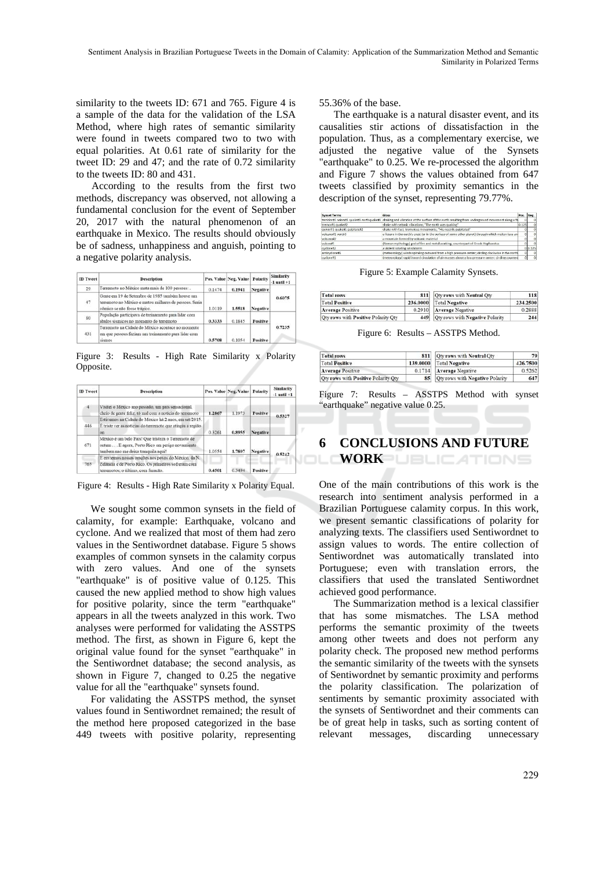similarity to the tweets ID: 671 and 765. Figure 4 is a sample of the data for the validation of the LSA Method, where high rates of semantic similarity were found in tweets compared two to two with equal polarities. At 0.61 rate of similarity for the tweet ID: 29 and 47; and the rate of 0.72 similarity to the tweets ID: 80 and 431.

According to the results from the first two methods, discrepancy was observed, not allowing a fundamental conclusion for the event of September 20, 2017 with the natural phenomenon of an earthquake in Mexico. The results should obviously be of sadness, unhappiness and anguish, pointing to a negative polarity analysis.

| <b>ID</b> Tweet | <b>Description</b>                                                                                                                        |        | Pos. Value Neg. Value Polarity |                 | <b>Similarity</b><br>$-1$ until $+1$ |  |
|-----------------|-------------------------------------------------------------------------------------------------------------------------------------------|--------|--------------------------------|-----------------|--------------------------------------|--|
| 29              | Terremoto no México mata mais de 100 pessoas: .                                                                                           | 0.1474 | 0.1941                         | <b>Negative</b> |                                      |  |
| 47              | Gente em 19 de Setembro de 1985 também houve um<br>terremoto no México e matou milhares de pessoas. Seria<br>cómico se não fosse trágico. | 1.0119 | 1,5518                         | <b>Negative</b> | 0.6075                               |  |
| 80              | População participava de treinamento para lidar com<br>abalos sismicos no momento do terremoto                                            | 0.3333 | 0.1845                         | Positive        |                                      |  |
| 431             | Terremoto na Cidade do México acontece no momento<br>em que pessoas faziam um treinamento para lidar com<br>sismos                        | 0.5708 | 0.1054                         | Positive        | 0.7235                               |  |

Figure 3: Results - High Rate Similarity x Polarity Opposite.

| <b>ID</b> Tweet | <b>Description</b>                                                                                                                                |        | Pos. Value Neg. Value | Polarity        | <b>Similarity</b><br>$-1$ until $+1$ |  |
|-----------------|---------------------------------------------------------------------------------------------------------------------------------------------------|--------|-----------------------|-----------------|--------------------------------------|--|
|                 | Visitei o México ano passado, um país sensacional,<br>cheio de gente feliz, tó mal com a noticia do terremoto                                     | 1.2867 | 1.1973                | Positive        |                                      |  |
| 446             | Estivemos na Cidade do México há 2 anos, em set/2015.<br>É triste ver as notícias do terremoto que atingiu a região<br>on                         | 0.3261 | 0.8955                | <b>Negative</b> | 0.5327                               |  |
| 671             | México é um belo País! Que tristeza o Terremoto de<br>ontem E agora, Porto Rico em perigo novamiente<br>tambem nao me deixa tranquila aqui!       |        | 1.7807                | <b>Negative</b> |                                      |  |
| 765             | E enviemos nossas orações aos povos do México, da N.<br>Zelândia e de Porto Rico. Os primeiros sofreram com<br>terremotos: o último, com furação. | 0.4501 | 0.3494                | Positive        | 0.5242                               |  |

Figure 4: Results - High Rate Similarity x Polarity Equal.

We sought some common synsets in the field of calamity, for example: Earthquake, volcano and cyclone. And we realized that most of them had zero values in the Sentiwordnet database. Figure 5 shows examples of common synsets in the calamity corpus with zero values. And one of the synsets "earthquake" is of positive value of 0.125. This caused the new applied method to show high values for positive polarity, since the term "earthquake" appears in all the tweets analyzed in this work. Two analyses were performed for validating the ASSTPS method. The first, as shown in Figure 6, kept the original value found for the synset "earthquake" in the Sentiwordnet database; the second analysis, as shown in Figure 7, changed to 0.25 the negative value for all the "earthquake" synsets found.

For validating the ASSTPS method, the synset values found in Sentiwordnet remained; the result of the method here proposed categorized in the base 449 tweets with positive polarity, representing

55.36% of the base.

The earthquake is a natural disaster event, and its causalities stir actions of dissatisfaction in the population. Thus, as a complementary exercise, we adjusted the negative value of the Synsets "earthquake" to 0.25. We re-processed the algorithm and Figure 7 shows the values obtained from 647 tweets classified by proximity semantics in the description of the synset, representing 79.77%.

| <b>Synset Terms</b>          | Gloss                                                                                                                                   | Pos            |         |
|------------------------------|-----------------------------------------------------------------------------------------------------------------------------------------|----------------|---------|
|                              | temblor#1 seism#1 quake#1 earthquake#1 shaking and vibration at the surface of the earth resulting from underground movement along a fa |                |         |
| tremor#1 quake#2             | shake with seismic vibrations; "The earth was quaking"                                                                                  | 0.125          |         |
| quiver#1 quake#1 palpitate#2 | shake with fast, tremulous movements; "His nostrils palpitated"                                                                         |                |         |
| volcano#1 yent#3             | a fissure in the earth's crust (or in the surface of some other planet) through which molten lava an                                    | 0 <sub>1</sub> |         |
| volcano#2                    | a mountain formed by volcanic material                                                                                                  |                |         |
| vulcan#1                     | (Roman mythology) god of fire and metal working; counterpart of Greek Hephaestus                                                        |                |         |
| cyclone#2                    | a violent rotating windstorm                                                                                                            |                | 0 0.125 |
| anticvclone#1                | (meteorology) winds spiraling outward from a high pressure center; circling clockwise in the north                                      | $\Omega$       |         |
| cyclone#1                    | (meteorology) rapid inward circulation of air masses about a low pressure center; circling counters                                     | $\Omega$       |         |

Figure 5: Example Calamity Synsets.

| <b>Total rows</b>                   |          | 811 Qty rows with Neutral Qty       | 118      |
|-------------------------------------|----------|-------------------------------------|----------|
| <b>Total Positive</b>               | 236,0000 | <b>Total Negative</b>               | 234.2500 |
| <b>Average Positive</b>             |          | 0.2910 Average Negative             | 0.2888   |
| Qty rows with Positive Polarity Qty |          | 449 Qty rows with Negative Polarity | 244      |

Figure 6: Results – ASSTPS Method.

| <b>Total rows</b>                   | 811      | Oty rows with Neutral Oty       | 79       |
|-------------------------------------|----------|---------------------------------|----------|
| <b>Total Positive</b>               | 139,0000 | <b>Total Negative</b>           | 426,7500 |
| <b>Average Positive</b>             | 0.1714   | Average Negative                | 0.5262   |
| Oty rows with Positive Polarity Oty | 85       | Oty rows with Negative Polarity | 647      |

Figure 7: Results – ASSTPS Method with synset "earthquake" negative value 0.25.

#### **6 CONCLUSIONS AND FUTURE**  JOL **WORK JBLIC ATIONS**

One of the main contributions of this work is the research into sentiment analysis performed in a Brazilian Portuguese calamity corpus. In this work, we present semantic classifications of polarity for analyzing texts. The classifiers used Sentiwordnet to assign values to words. The entire collection of Sentiwordnet was automatically translated into Portuguese; even with translation errors, the classifiers that used the translated Sentiwordnet achieved good performance.

The Summarization method is a lexical classifier that has some mismatches. The LSA method performs the semantic proximity of the tweets among other tweets and does not perform any polarity check. The proposed new method performs the semantic similarity of the tweets with the synsets of Sentiwordnet by semantic proximity and performs the polarity classification. The polarization of sentiments by semantic proximity associated with the synsets of Sentiwordnet and their comments can be of great help in tasks, such as sorting content of relevant messages, discarding unnecessary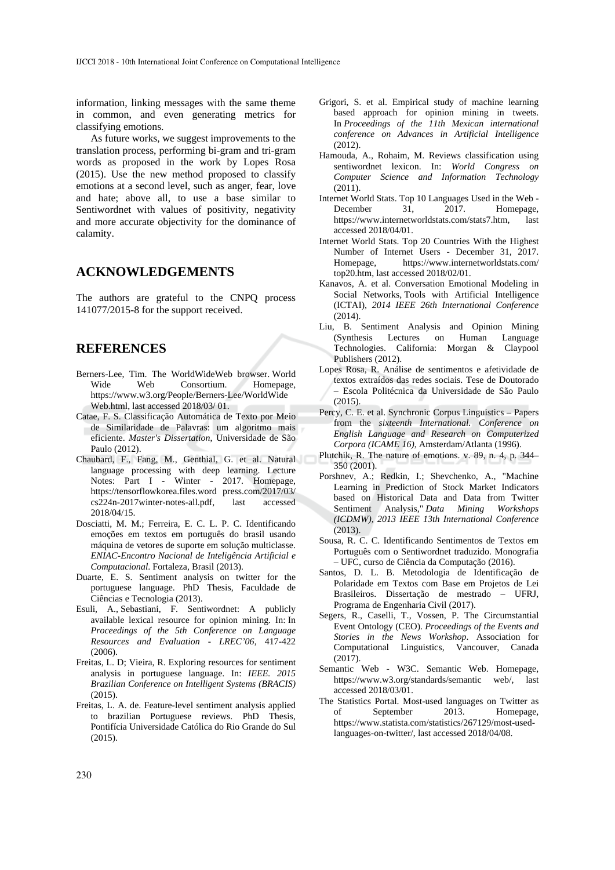information, linking messages with the same theme in common, and even generating metrics for classifying emotions.

As future works, we suggest improvements to the translation process, performing bi-gram and tri-gram words as proposed in the work by Lopes Rosa (2015). Use the new method proposed to classify emotions at a second level, such as anger, fear, love and hate; above all, to use a base similar to Sentiwordnet with values of positivity, negativity and more accurate objectivity for the dominance of calamity.

#### **ACKNOWLEDGEMENTS**

The authors are grateful to the CNPQ process 141077/2015-8 for the support received.

#### **REFERENCES**

- Berners-Lee, Tim. The WorldWideWeb browser. World Wide Web Consortium. Homepage, https://www.w3.org/People/Berners-Lee/WorldWide Web.html, last accessed 2018/03/ 01.
- Catae, F. S. Classificação Automática de Texto por Meio de Similaridade de Palavras: um algoritmo mais eficiente. *Master's Dissertation*, Universidade de São Paulo (2012).
- Chaubard, F., Fang, M., Genthial, G. et al. Natural language processing with deep learning. Lecture Notes: Part I - Winter - 2017. Homepage, https://tensorflowkorea.files.word press.com/2017/03/ cs224n-2017winter-notes-all.pdf, last accessed 2018/04/15.
- Dosciatti, M. M.; Ferreira, E. C. L. P. C. Identificando emoções em textos em português do brasil usando máquina de vetores de suporte em solução multiclasse. *ENIAC-Encontro Nacional de Inteligência Artificial e Computacional*. Fortaleza, Brasil (2013).
- Duarte, E. S. Sentiment analysis on twitter for the portuguese language. PhD Thesis, Faculdade de Ciências e Tecnologia (2013).
- Esuli, A., Sebastiani, F. Sentiwordnet: A publicly available lexical resource for opinion mining. In: In *Proceedings of the 5th Conference on Language Resources and Evaluation - LREC'06*, 417-422 (2006).
- Freitas, L. D; Vieira, R. Exploring resources for sentiment analysis in portuguese language. In: *IEEE. 2015 Brazilian Conference on Intelligent Systems (BRACIS)* (2015).
- Freitas, L. A. de. Feature-level sentiment analysis applied to brazilian Portuguese reviews. PhD Thesis, Pontifícia Universidade Católica do Rio Grande do Sul (2015).
- Grigori, S. et al. Empirical study of machine learning based approach for opinion mining in tweets. In *Proceedings of the 11th Mexican international conference on Advances in Artificial Intelligence*  $(2012)$
- Hamouda, A., Rohaim, M. Reviews classification using sentiwordnet lexicon. In: *World Congress on Computer Science and Information Technology* (2011).
- Internet World Stats. Top 10 Languages Used in the Web December 31, 2017. Homepage, https://www.internetworldstats.com/stats7.htm, last accessed 2018/04/01.
- Internet World Stats. Top 20 Countries With the Highest Number of Internet Users - December 31, 2017. Homepage, https://www.internetworldstats.com/ top20.htm, last accessed 2018/02/01.
- Kanavos, A. et al. Conversation Emotional Modeling in Social Networks, Tools with Artificial Intelligence (ICTAI), *2014 IEEE 26th International Conference* (2014).
- Liu, B. Sentiment Analysis and Opinion Mining (Synthesis Lectures on Human Language Technologies. California: Morgan & Claypool Publishers (2012).
- Lopes Rosa, R. Análise de sentimentos e afetividade de textos extraídos das redes sociais. Tese de Doutorado – Escola Politécnica da Universidade de São Paulo (2015).
- Percy, C. E. et al. Synchronic Corpus Linguistics Papers from the *sixteenth International. Conference on English Language and Research on Computerized Corpora (ICAME 16)*, Amsterdam/Atlanta (1996).
- Plutchik, R. The nature of emotions. v. 89, n. 4, p. 344– 350 (2001).
- Porshnev, A.; Redkin, I.; Shevchenko, A., "Machine Learning in Prediction of Stock Market Indicators based on Historical Data and Data from Twitter Sentiment Analysis," *Data Mining Workshops (ICDMW), 2013 IEEE 13th International Conference* (2013).
- Sousa, R. C. C. Identificando Sentimentos de Textos em Português com o Sentiwordnet traduzido. Monografia – UFC, curso de Ciência da Computação (2016).
- Santos, D. L. B. Metodologia de Identificação de Polaridade em Textos com Base em Projetos de Lei Brasileiros. Dissertação de mestrado – UFRJ, Programa de Engenharia Civil (2017).
- Segers, R., Caselli, T., Vossen, P. The Circumstantial Event Ontology (CEO). *Proceedings of the Events and Stories in the News Workshop*. Association for Computational Linguistics, Vancouver, Canada (2017).
- Semantic Web W3C. Semantic Web. Homepage, https://www.w3.org/standards/semantic web/, last accessed 2018/03/01.
- The Statistics Portal. Most-used languages on Twitter as of September 2013. Homepage, https://www.statista.com/statistics/267129/most-usedlanguages-on-twitter/, last accessed 2018/04/08.